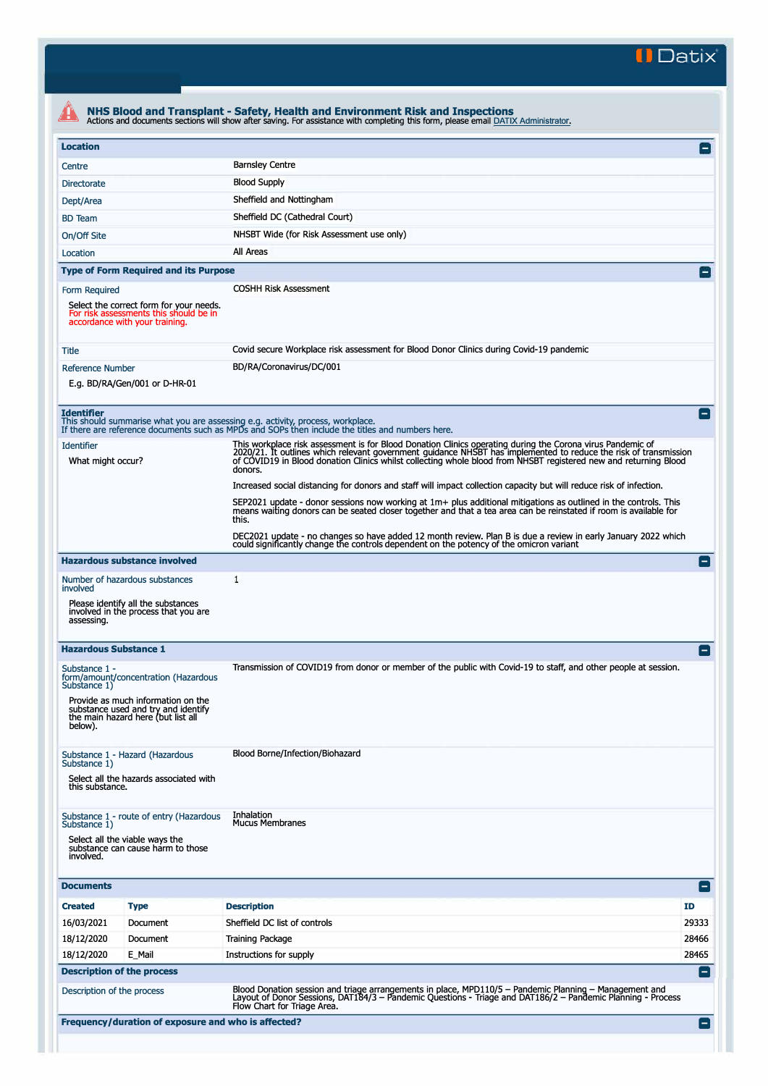**II Datix"** 

| <b>Location</b>                        |                                                                                                                     |                                                                                                                                                                                                                                                                                                                                                               | $\Box$             |
|----------------------------------------|---------------------------------------------------------------------------------------------------------------------|---------------------------------------------------------------------------------------------------------------------------------------------------------------------------------------------------------------------------------------------------------------------------------------------------------------------------------------------------------------|--------------------|
| Centre                                 |                                                                                                                     | <b>Barnsley Centre</b>                                                                                                                                                                                                                                                                                                                                        |                    |
| <b>Directorate</b>                     |                                                                                                                     | <b>Blood Supply</b>                                                                                                                                                                                                                                                                                                                                           |                    |
| Dept/Area                              |                                                                                                                     | Sheffield and Nottingham                                                                                                                                                                                                                                                                                                                                      |                    |
| <b>BD</b> Team                         |                                                                                                                     | Sheffield DC (Cathedral Court)                                                                                                                                                                                                                                                                                                                                |                    |
|                                        |                                                                                                                     | NHSBT Wide (for Risk Assessment use only)                                                                                                                                                                                                                                                                                                                     |                    |
| On/Off Site<br>Location                |                                                                                                                     | All Areas                                                                                                                                                                                                                                                                                                                                                     |                    |
|                                        |                                                                                                                     |                                                                                                                                                                                                                                                                                                                                                               | o                  |
|                                        | <b>Type of Form Required and its Purpose</b>                                                                        |                                                                                                                                                                                                                                                                                                                                                               |                    |
| Form Required                          |                                                                                                                     | <b>COSHH Risk Assessment</b>                                                                                                                                                                                                                                                                                                                                  |                    |
|                                        | Select the correct form for your needs.<br>For risk assessments this should be in<br>accordance with your training. |                                                                                                                                                                                                                                                                                                                                                               |                    |
| Title                                  |                                                                                                                     | Covid secure Workplace risk assessment for Blood Donor Clinics during Covid-19 pandemic                                                                                                                                                                                                                                                                       |                    |
| <b>Reference Number</b>                |                                                                                                                     | BD/RA/Coronavirus/DC/001                                                                                                                                                                                                                                                                                                                                      |                    |
|                                        | E.g. BD/RA/Gen/001 or D-HR-01                                                                                       |                                                                                                                                                                                                                                                                                                                                                               |                    |
| <b>Identifier</b>                      |                                                                                                                     | This should summarise what you are assessing e.g. activity, process, workplace.                                                                                                                                                                                                                                                                               | $\blacksquare$     |
|                                        |                                                                                                                     | If there are reference documents such as MPDs and SOPs then include the titles and numbers here.                                                                                                                                                                                                                                                              |                    |
| <b>Identifier</b><br>What might occur? |                                                                                                                     | This workplace risk assessment is for Blood Donation Clinics operating during the Corona virus Pandemic of<br>2020/21. It outlines which relevant government guidance NHSBT has implemented to reduce the risk of transmission<br>of COVID19 in Blood donation Clinics whilst collecting whole blood from NHSBT registered new and returning Blood<br>donors. |                    |
|                                        |                                                                                                                     | Increased social distancing for donors and staff will impact collection capacity but will reduce risk of infection.                                                                                                                                                                                                                                           |                    |
|                                        |                                                                                                                     | SEP2021 update - donor sessions now working at $1m+$ plus additional mitigations as outlined in the controls. This<br>means waiting donors can be seated closer together and that a tea area can be reinstated if room is available for<br>this.                                                                                                              |                    |
|                                        |                                                                                                                     | DEC2021 update - no changes so have added 12 month review. Plan B is due a review in early January 2022 which<br>could significantly change the controls dependent on the potency of the omicron variant                                                                                                                                                      |                    |
|                                        | <b>Hazardous substance involved</b>                                                                                 |                                                                                                                                                                                                                                                                                                                                                               | $\blacksquare$     |
|                                        | Number of hazardous substances                                                                                      | 1                                                                                                                                                                                                                                                                                                                                                             |                    |
| involved<br>assessing.                 | Please identify all the substances<br>involved in the process that you are                                          |                                                                                                                                                                                                                                                                                                                                                               |                    |
| <b>Hazardous Substance 1</b>           |                                                                                                                     |                                                                                                                                                                                                                                                                                                                                                               | $\left  - \right $ |
| Substance 1 -<br>Substance 1)          | form/amount/concentration (Hazardous                                                                                | Transmission of COVID19 from donor or member of the public with Covid-19 to staff, and other people at session.                                                                                                                                                                                                                                               |                    |
| below).                                | Provide as much information on the<br>substance used and try and identify<br>the main hazard here (but list all     |                                                                                                                                                                                                                                                                                                                                                               |                    |
|                                        | Substance 1 - Hazard (Hazardous                                                                                     | Blood Borne/Infection/Biohazard                                                                                                                                                                                                                                                                                                                               |                    |
| Substance 1)                           |                                                                                                                     |                                                                                                                                                                                                                                                                                                                                                               |                    |
| this substance.                        | Select all the hazards associated with                                                                              |                                                                                                                                                                                                                                                                                                                                                               |                    |
|                                        | Substance 1 - route of entry (Hazardous<br>Substance 1)                                                             | Inhalation<br><b>Mucus Membranes</b>                                                                                                                                                                                                                                                                                                                          |                    |
| involved.                              | Select all the viable ways the<br>substance can cause harm to those                                                 |                                                                                                                                                                                                                                                                                                                                                               |                    |
| <b>Documents</b>                       |                                                                                                                     |                                                                                                                                                                                                                                                                                                                                                               | l-l                |
| <b>Created</b>                         | <b>Type</b>                                                                                                         | <b>Description</b>                                                                                                                                                                                                                                                                                                                                            | ID                 |
| 16/03/2021                             | Document                                                                                                            | Sheffield DC list of controls                                                                                                                                                                                                                                                                                                                                 | 29333              |
| 18/12/2020                             | Document                                                                                                            | Training Package                                                                                                                                                                                                                                                                                                                                              | 28466              |
| 18/12/2020                             | E Mail                                                                                                              | Instructions for supply                                                                                                                                                                                                                                                                                                                                       | 28465              |
|                                        | <b>Description of the process</b>                                                                                   |                                                                                                                                                                                                                                                                                                                                                               | $\left[ -\right]$  |
| Description of the process             |                                                                                                                     | Blood Donation session and triage arrangements in place, MPD110/5 - Pandemic Planning - Management and<br>Layout of Donor Sessions, DAT184/3 – Pandemic Questions - Triage and DAT186/2 – Pandemic Planning - Process<br>Flow Chart for Triage Area.                                                                                                          |                    |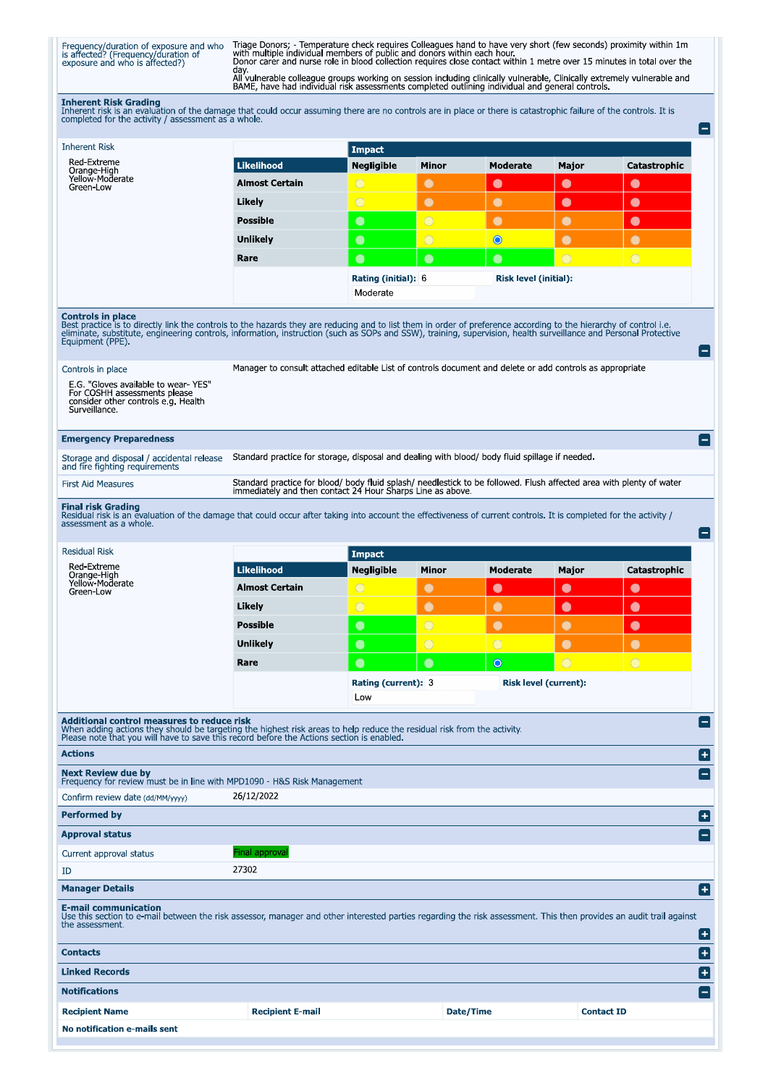Frequency/duration of exposure and who<br>is affected? (Frequency/duration of<br>exposure and who is affected?)

Triage Donors; - Temperature check requires Colleagues hand to have very short (few seconds) proximity within 1m<br>with multiple individual members of public and donors within each hour.<br>Donor carer and nurse role in blood c day.<br>All vulnerable colleague groups working on session including clinically vulnerable, Clinically extremely vulnerable and<br>BAME, have had individual risk assessments completed outlining individual and general controls.

Inherent Risk Grading<br>Inherent risk is an evaluation of the damage that could occur assuming there are no controls are in place or there is catastrophic failure of the controls. It is<br>completed for the activity / assessmen E **Inherent Risk** Impact Red-Extreme<br>Orange-High<br>Yellow-Moderate Likelihood **Negligible** Minor Moderate Major Catastrophic **Almost Certain**  $\bullet$  $\bullet$  $\bullet$  $\bullet$ Green-Low Likely  $\bullet$  $\bullet$  $\bullet$  $\bullet$ **Possible**  $\bullet$  $\bullet$  $\bullet$  $\bullet$ **Unlikely**  $\bullet$  $\bullet$  $\bullet$  $\bullet$ Rare О  $\bullet$  $\bullet$ Rating (initial): 6 **Risk level (initial):** Moderate **Controls in place**<br>Best practice is to directly link the controls to the hazards they are reducing and to list them in order of preference according to the hierarchy of control i.e.<br>eliminate, substitute, engineering cont Ξ Manager to consult attached editable List of controls document and delete or add controls as appropriate Controls in place E.G. "Gloves available to wear- YES"<br>For COSHH assessments please<br>consider other controls e.g. Health<br>Surveillance. **Emergency Preparedness**  $\blacksquare$ Standard practice for storage, disposal and dealing with blood/ body fluid spillage if needed. Storage and disposal / accidental release<br>and fire fighting requirements Standard practice for blood/ body fluid splash/ needlestick to be followed. Flush affected area with plenty of water<br>immediately and then contact 24 Hour Sharps Line as above. **First Aid Measures** Final risk Grading<br>Residual risk is an evaluation of the damage that could occur after taking into account the effectiveness of current controls. It is completed for the activity / assessment as a whole Ξ **Residual Risk** Impact Red-Extreme Likelihood Negligible Minor **Moderate** Major Catastrophic Ned Extreme<br>Orange-High<br>Yellow-Moderate **Almost Certain**  $\bullet$ O  $\bullet$  $\bullet$ Green-Low  $\bullet$  $\bullet$  $\bullet$  $\bullet$ Likely **Possible**  $\bullet$  $\bullet$  $\bullet$  $\bullet$  $\bullet$  $\bullet$  $\bullet$ **Unlikely** Rare  $\bullet$  $\circ$ C Risk level (current): Rating (current): 3 Low Additional control measures to reduce risk<br>When adding actions they should be targeting the highest risk areas to help reduce the residual risk from the activity.<br>Please note that you will have to save this record before t E **Actions** O Next Review due by<br>Frequency for review must be in line with MPD1090 - H&S Risk Management 26/12/2022 Confirm review date (dd/MM/yyyy) **Performed by** O **Approval status Final approva** Current approval status 27302 ID **Manager Details** O E-mail communication<br>Use this section to e-mail between the risk assessor, manager and other interested parties regarding the risk assessment. This then provides an audit trail against<br>the assessment.  $\left[ \text{+}\right]$ **Contacts** o **Linked Records** Ð **Notifications** e **Contact ID Recipient E-mail** Date/Time **Recipient Name** No notification e-mails sent